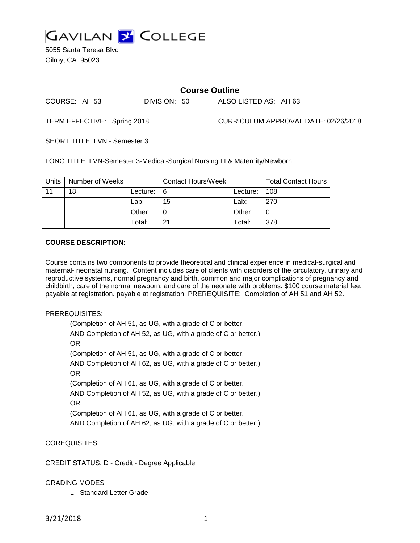

5055 Santa Teresa Blvd Gilroy, CA 95023

## **Course Outline**

COURSE: AH 53 DIVISION: 50 ALSO LISTED AS: AH 63

TERM EFFECTIVE: Spring 2018 CURRICULUM APPROVAL DATE: 02/26/2018

SHORT TITLE: LVN - Semester 3

LONG TITLE: LVN-Semester 3-Medical-Surgical Nursing III & Maternity/Newborn

| Units | Number of Weeks |          | <b>Contact Hours/Week</b> |          | <b>Total Contact Hours</b> |
|-------|-----------------|----------|---------------------------|----------|----------------------------|
| 11    | 18              | Lecture: | l 6                       | Lecture: | 108                        |
|       |                 | Lab:     | 15                        | Lab:     | 270                        |
|       |                 | Other:   |                           | Other:   | 0                          |
|       |                 | Total:   | 21                        | Total:   | 378                        |

## **COURSE DESCRIPTION:**

Course contains two components to provide theoretical and clinical experience in medical-surgical and maternal- neonatal nursing. Content includes care of clients with disorders of the circulatory, urinary and reproductive systems, normal pregnancy and birth, common and major complications of pregnancy and childbirth, care of the normal newborn, and care of the neonate with problems. \$100 course material fee, payable at registration. payable at registration. PREREQUISITE: Completion of AH 51 and AH 52.

## PREREQUISITES:

(Completion of AH 51, as UG, with a grade of C or better. AND Completion of AH 52, as UG, with a grade of C or better.) OR (Completion of AH 51, as UG, with a grade of C or better. AND Completion of AH 62, as UG, with a grade of C or better.) OR (Completion of AH 61, as UG, with a grade of C or better. AND Completion of AH 52, as UG, with a grade of C or better.) OR (Completion of AH 61, as UG, with a grade of C or better. AND Completion of AH 62, as UG, with a grade of C or better.)

COREQUISITES:

CREDIT STATUS: D - Credit - Degree Applicable

## GRADING MODES

L - Standard Letter Grade

3/21/2018 1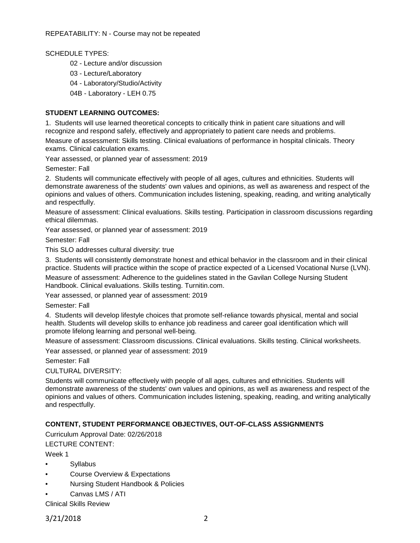SCHEDULE TYPES:

- 02 Lecture and/or discussion
- 03 Lecture/Laboratory
- 04 Laboratory/Studio/Activity
- 04B Laboratory LEH 0.75

#### **STUDENT LEARNING OUTCOMES:**

1. Students will use learned theoretical concepts to critically think in patient care situations and will recognize and respond safely, effectively and appropriately to patient care needs and problems.

Measure of assessment: Skills testing. Clinical evaluations of performance in hospital clinicals. Theory exams. Clinical calculation exams.

Year assessed, or planned year of assessment: 2019

Semester: Fall

2. Students will communicate effectively with people of all ages, cultures and ethnicities. Students will demonstrate awareness of the students' own values and opinions, as well as awareness and respect of the opinions and values of others. Communication includes listening, speaking, reading, and writing analytically and respectfully.

Measure of assessment: Clinical evaluations. Skills testing. Participation in classroom discussions regarding ethical dilemmas.

Year assessed, or planned year of assessment: 2019

Semester: Fall

This SLO addresses cultural diversity: true

3. Students will consistently demonstrate honest and ethical behavior in the classroom and in their clinical practice. Students will practice within the scope of practice expected of a Licensed Vocational Nurse (LVN).

Measure of assessment: Adherence to the guidelines stated in the Gavilan College Nursing Student Handbook. Clinical evaluations. Skills testing. Turnitin.com.

Year assessed, or planned year of assessment: 2019

Semester: Fall

4. Students will develop lifestyle choices that promote self-reliance towards physical, mental and social health. Students will develop skills to enhance job readiness and career goal identification which will promote lifelong learning and personal well-being.

Measure of assessment: Classroom discussions. Clinical evaluations. Skills testing. Clinical worksheets.

Year assessed, or planned year of assessment: 2019

Semester: Fall

CULTURAL DIVERSITY:

Students will communicate effectively with people of all ages, cultures and ethnicities. Students will demonstrate awareness of the students' own values and opinions, as well as awareness and respect of the opinions and values of others. Communication includes listening, speaking, reading, and writing analytically and respectfully.

## **CONTENT, STUDENT PERFORMANCE OBJECTIVES, OUT-OF-CLASS ASSIGNMENTS**

Curriculum Approval Date: 02/26/2018

LECTURE CONTENT:

Week 1

- **Syllabus**
- Course Overview & Expectations
- Nursing Student Handbook & Policies
- Canvas LMS / ATI

Clinical Skills Review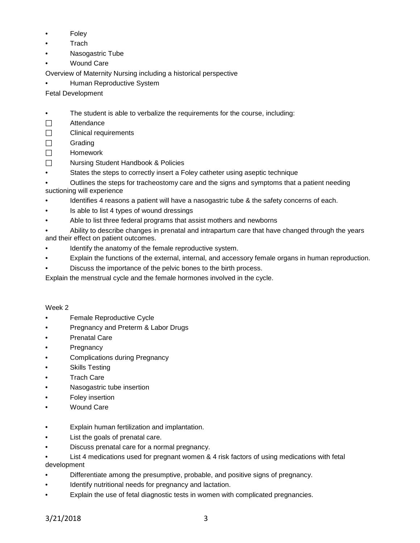- **Foley**
- **Trach**
- Nasogastric Tube
- **Wound Care**

Overview of Maternity Nursing including a historical perspective

• Human Reproductive System

Fetal Development

- The student is able to verbalize the requirements for the course, including:
- □ Attendance
- $\Box$  Clinical requirements
- $\square$  Grading
- $\Box$  Homework
- □ Nursing Student Handbook & Policies
- States the steps to correctly insert a Foley catheter using aseptic technique
- Outlines the steps for tracheostomy care and the signs and symptoms that a patient needing suctioning will experience
- Identifies 4 reasons a patient will have a nasogastric tube & the safety concerns of each.
- Is able to list 4 types of wound dressings
- Able to list three federal programs that assist mothers and newborns
- Ability to describe changes in prenatal and intrapartum care that have changed through the years and their effect on patient outcomes.
- Identify the anatomy of the female reproductive system.
- Explain the functions of the external, internal, and accessory female organs in human reproduction.
- Discuss the importance of the pelvic bones to the birth process.

Explain the menstrual cycle and the female hormones involved in the cycle.

# Week 2

- Female Reproductive Cycle
- Pregnancy and Preterm & Labor Drugs
- **Prenatal Care**
- **Pregnancy**
- Complications during Pregnancy
- Skills Testing
- **Trach Care**
- Nasogastric tube insertion
- **Foley insertion**
- Wound Care
- Explain human fertilization and implantation.
- List the goals of prenatal care.
- Discuss prenatal care for a normal pregnancy.
- List 4 medications used for pregnant women & 4 risk factors of using medications with fetal development
- Differentiate among the presumptive, probable, and positive signs of pregnancy.
- Identify nutritional needs for pregnancy and lactation.
- Explain the use of fetal diagnostic tests in women with complicated pregnancies.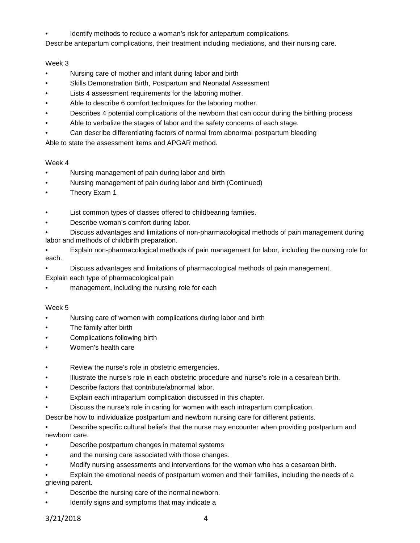Identify methods to reduce a woman's risk for antepartum complications.

Describe antepartum complications, their treatment including mediations, and their nursing care.

## Week 3

- Nursing care of mother and infant during labor and birth
- Skills Demonstration Birth, Postpartum and Neonatal Assessment
- Lists 4 assessment requirements for the laboring mother.
- Able to describe 6 comfort techniques for the laboring mother.
- Describes 4 potential complications of the newborn that can occur during the birthing process
- Able to verbalize the stages of labor and the safety concerns of each stage.
- Can describe differentiating factors of normal from abnormal postpartum bleeding

Able to state the assessment items and APGAR method.

## Week 4

- Nursing management of pain during labor and birth
- Nursing management of pain during labor and birth (Continued)
- Theory Exam 1
- List common types of classes offered to childbearing families.
- Describe woman's comfort during labor.
- Discuss advantages and limitations of non-pharmacological methods of pain management during labor and methods of childbirth preparation.
- Explain non-pharmacological methods of pain management for labor, including the nursing role for each.
- Discuss advantages and limitations of pharmacological methods of pain management.

Explain each type of pharmacological pain

management, including the nursing role for each

## Week 5

- Nursing care of women with complications during labor and birth
- The family after birth
- Complications following birth
- Women's health care
- Review the nurse's role in obstetric emergencies.
- Illustrate the nurse's role in each obstetric procedure and nurse's role in a cesarean birth.
- Describe factors that contribute/abnormal labor.
- Explain each intrapartum complication discussed in this chapter.
- Discuss the nurse's role in caring for women with each intrapartum complication.
- Describe how to individualize postpartum and newborn nursing care for different patients.

• Describe specific cultural beliefs that the nurse may encounter when providing postpartum and newborn care.

- Describe postpartum changes in maternal systems
- and the nursing care associated with those changes.
- Modify nursing assessments and interventions for the woman who has a cesarean birth.
- Explain the emotional needs of postpartum women and their families, including the needs of a grieving parent.
- Describe the nursing care of the normal newborn.
- Identify signs and symptoms that may indicate a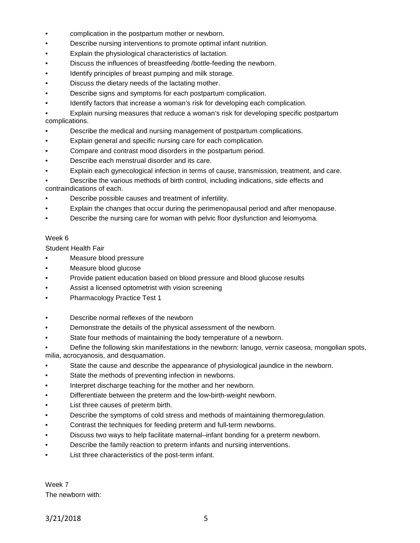- complication in the postpartum mother or newborn.
- Describe nursing interventions to promote optimal infant nutrition.
- Explain the physiological characteristics of lactation.
- Discuss the influences of breastfeeding /bottle-feeding the newborn.
- Identify principles of breast pumping and milk storage.
- Discuss the dietary needs of the lactating mother.
- Describe signs and symptoms for each postpartum complication.
- Identify factors that increase a woman's risk for developing each complication.

• Explain nursing measures that reduce a woman's risk for developing specific postpartum complications.

- Describe the medical and nursing management of postpartum complications.
- Explain general and specific nursing care for each complication.
- Compare and contrast mood disorders in the postpartum period.
- Describe each menstrual disorder and its care.
- Explain each gynecological infection in terms of cause, transmission, treatment, and care.
- Describe the various methods of birth control, including indications, side effects and contraindications of each.
- Describe possible causes and treatment of infertility.
- Explain the changes that occur during the perimenopausal period and after menopause.
- Describe the nursing care for woman with pelvic floor dysfunction and leiomyoma.

## Week 6

Student Health Fair

- Measure blood pressure
- Measure blood glucose
- Provide patient education based on blood pressure and blood glucose results
- Assist a licensed optometrist with vision screening
- Pharmacology Practice Test 1
- Describe normal reflexes of the newborn
- Demonstrate the details of the physical assessment of the newborn.
- State four methods of maintaining the body temperature of a newborn.
- Define the following skin manifestations in the newborn: lanugo, vernix caseosa, mongolian spots, milia, acrocyanosis, and desquamation.
- State the cause and describe the appearance of physiological jaundice in the newborn.
- State the methods of preventing infection in newborns.
- Interpret discharge teaching for the mother and her newborn.
- Differentiate between the preterm and the low-birth-weight newborn.
- List three causes of preterm birth.
- Describe the symptoms of cold stress and methods of maintaining thermoregulation.
- Contrast the techniques for feeding preterm and full-term newborns.
- Discuss two ways to help facilitate maternal–infant bonding for a preterm newborn.
- Describe the family reaction to preterm infants and nursing interventions.
- List three characteristics of the post-term infant.

Week 7 The newborn with: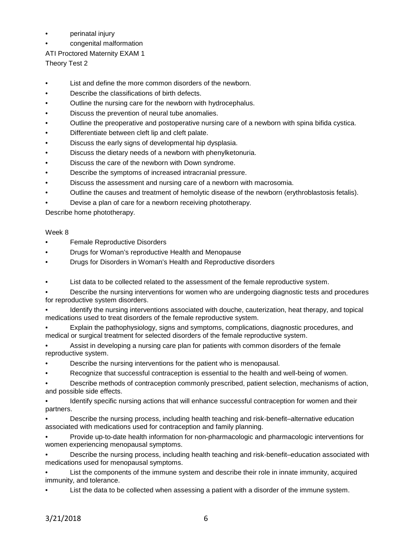- perinatal injury
- congenital malformation
- ATI Proctored Maternity EXAM 1

Theory Test 2

- List and define the more common disorders of the newborn.
- Describe the classifications of birth defects.
- Outline the nursing care for the newborn with hydrocephalus.
- Discuss the prevention of neural tube anomalies.
- Outline the preoperative and postoperative nursing care of a newborn with spina bifida cystica.
- Differentiate between cleft lip and cleft palate.
- Discuss the early signs of developmental hip dysplasia.
- Discuss the dietary needs of a newborn with phenylketonuria.
- Discuss the care of the newborn with Down syndrome.
- Describe the symptoms of increased intracranial pressure.
- Discuss the assessment and nursing care of a newborn with macrosomia.
- Outline the causes and treatment of hemolytic disease of the newborn (erythroblastosis fetalis).
- Devise a plan of care for a newborn receiving phototherapy.

Describe home phototherapy.

## Week 8

- **Female Reproductive Disorders**
- Drugs for Woman's reproductive Health and Menopause
- Drugs for Disorders in Woman's Health and Reproductive disorders
- List data to be collected related to the assessment of the female reproductive system.

• Describe the nursing interventions for women who are undergoing diagnostic tests and procedures for reproductive system disorders.

• Identify the nursing interventions associated with douche, cauterization, heat therapy, and topical medications used to treat disorders of the female reproductive system.

- Explain the pathophysiology, signs and symptoms, complications, diagnostic procedures, and medical or surgical treatment for selected disorders of the female reproductive system.
- Assist in developing a nursing care plan for patients with common disorders of the female reproductive system.
- Describe the nursing interventions for the patient who is menopausal.
- Recognize that successful contraception is essential to the health and well-being of women.
- Describe methods of contraception commonly prescribed, patient selection, mechanisms of action, and possible side effects.

• Identify specific nursing actions that will enhance successful contraception for women and their partners.

• Describe the nursing process, including health teaching and risk-benefit–alternative education associated with medications used for contraception and family planning.

• Provide up-to-date health information for non-pharmacologic and pharmacologic interventions for women experiencing menopausal symptoms.

• Describe the nursing process, including health teaching and risk-benefit–education associated with medications used for menopausal symptoms.

• List the components of the immune system and describe their role in innate immunity, acquired immunity, and tolerance.

List the data to be collected when assessing a patient with a disorder of the immune system.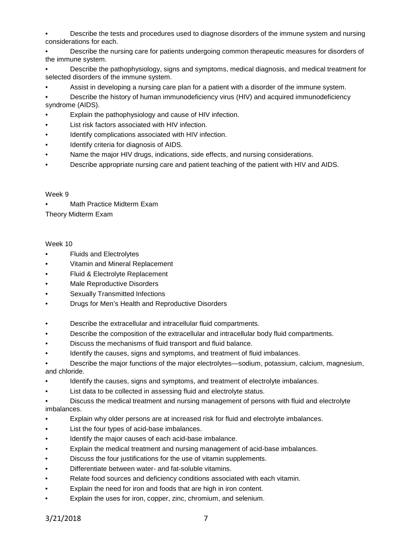• Describe the tests and procedures used to diagnose disorders of the immune system and nursing considerations for each.

• Describe the nursing care for patients undergoing common therapeutic measures for disorders of the immune system.

• Describe the pathophysiology, signs and symptoms, medical diagnosis, and medical treatment for selected disorders of the immune system.

• Assist in developing a nursing care plan for a patient with a disorder of the immune system.

• Describe the history of human immunodeficiency virus (HIV) and acquired immunodeficiency syndrome (AIDS).

- Explain the pathophysiology and cause of HIV infection.
- List risk factors associated with HIV infection.
- Identify complications associated with HIV infection.
- Identify criteria for diagnosis of AIDS.
- Name the major HIV drugs, indications, side effects, and nursing considerations.
- Describe appropriate nursing care and patient teaching of the patient with HIV and AIDS.

#### Week 9

• Math Practice Midterm Exam

Theory Midterm Exam

## Week 10

- Fluids and Electrolytes
- Vitamin and Mineral Replacement
- Fluid & Electrolyte Replacement
- Male Reproductive Disorders
- Sexually Transmitted Infections
- Drugs for Men's Health and Reproductive Disorders
- Describe the extracellular and intracellular fluid compartments.
- Describe the composition of the extracellular and intracellular body fluid compartments.
- Discuss the mechanisms of fluid transport and fluid balance.
- Identify the causes, signs and symptoms, and treatment of fluid imbalances.

• Describe the major functions of the major electrolytes—sodium, potassium, calcium, magnesium, and chloride.

- Identify the causes, signs and symptoms, and treatment of electrolyte imbalances.
- List data to be collected in assessing fluid and electrolyte status.
- Discuss the medical treatment and nursing management of persons with fluid and electrolyte imbalances.
- Explain why older persons are at increased risk for fluid and electrolyte imbalances.
- List the four types of acid-base imbalances.
- Identify the major causes of each acid-base imbalance.
- Explain the medical treatment and nursing management of acid-base imbalances.
- Discuss the four justifications for the use of vitamin supplements.
- Differentiate between water- and fat-soluble vitamins.
- Relate food sources and deficiency conditions associated with each vitamin.
- Explain the need for iron and foods that are high in iron content.
- Explain the uses for iron, copper, zinc, chromium, and selenium.

3/21/2018 7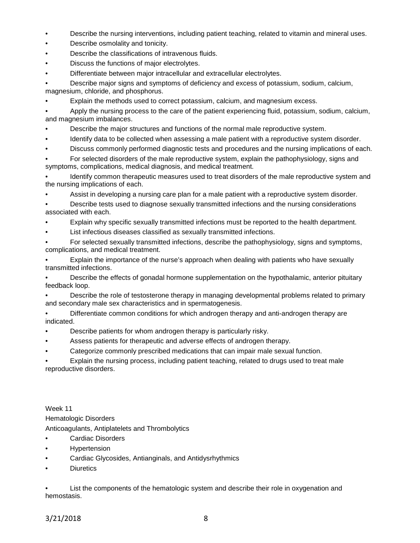- Describe the nursing interventions, including patient teaching, related to vitamin and mineral uses.
- Describe osmolality and tonicity.
- Describe the classifications of intravenous fluids.
- Discuss the functions of major electrolytes.
- Differentiate between major intracellular and extracellular electrolytes.

• Describe major signs and symptoms of deficiency and excess of potassium, sodium, calcium, magnesium, chloride, and phosphorus.

• Explain the methods used to correct potassium, calcium, and magnesium excess.

• Apply the nursing process to the care of the patient experiencing fluid, potassium, sodium, calcium, and magnesium imbalances.

- Describe the major structures and functions of the normal male reproductive system.
- Identify data to be collected when assessing a male patient with a reproductive system disorder.
- Discuss commonly performed diagnostic tests and procedures and the nursing implications of each.

• For selected disorders of the male reproductive system, explain the pathophysiology, signs and symptoms, complications, medical diagnosis, and medical treatment.

• Identify common therapeutic measures used to treat disorders of the male reproductive system and the nursing implications of each.

• Assist in developing a nursing care plan for a male patient with a reproductive system disorder.

• Describe tests used to diagnose sexually transmitted infections and the nursing considerations associated with each.

- Explain why specific sexually transmitted infections must be reported to the health department.
- List infectious diseases classified as sexually transmitted infections.

• For selected sexually transmitted infections, describe the pathophysiology, signs and symptoms, complications, and medical treatment.

• Explain the importance of the nurse's approach when dealing with patients who have sexually transmitted infections.

• Describe the effects of gonadal hormone supplementation on the hypothalamic, anterior pituitary feedback loop.

• Describe the role of testosterone therapy in managing developmental problems related to primary and secondary male sex characteristics and in spermatogenesis.

• Differentiate common conditions for which androgen therapy and anti-androgen therapy are indicated.

- Describe patients for whom androgen therapy is particularly risky.
- Assess patients for therapeutic and adverse effects of androgen therapy.
- Categorize commonly prescribed medications that can impair male sexual function.

• Explain the nursing process, including patient teaching, related to drugs used to treat male reproductive disorders.

Week 11 Hematologic Disorders Anticoagulants, Antiplatelets and Thrombolytics Cardiac Disorders

- **Hypertension**
- Cardiac Glycosides, Antianginals, and Antidysrhythmics
- **Diuretics**

• List the components of the hematologic system and describe their role in oxygenation and hemostasis.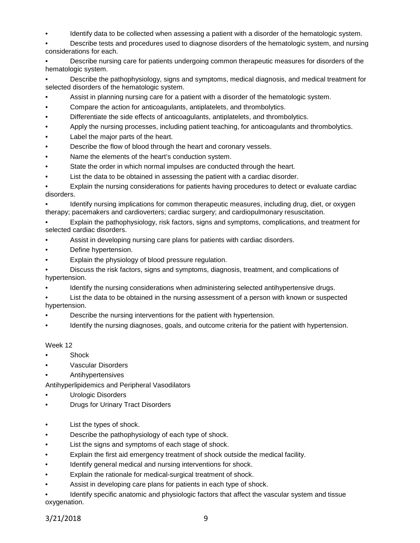Identify data to be collected when assessing a patient with a disorder of the hematologic system.

• Describe tests and procedures used to diagnose disorders of the hematologic system, and nursing considerations for each.

• Describe nursing care for patients undergoing common therapeutic measures for disorders of the hematologic system.

• Describe the pathophysiology, signs and symptoms, medical diagnosis, and medical treatment for selected disorders of the hematologic system.

- Assist in planning nursing care for a patient with a disorder of the hematologic system.
- Compare the action for anticoagulants, antiplatelets, and thrombolytics.
- Differentiate the side effects of anticoagulants, antiplatelets, and thrombolytics.
- Apply the nursing processes, including patient teaching, for anticoagulants and thrombolytics.
- Label the major parts of the heart.
- Describe the flow of blood through the heart and coronary vessels.
- Name the elements of the heart's conduction system.
- State the order in which normal impulses are conducted through the heart.
- List the data to be obtained in assessing the patient with a cardiac disorder.

• Explain the nursing considerations for patients having procedures to detect or evaluate cardiac disorders.

• Identify nursing implications for common therapeutic measures, including drug, diet, or oxygen therapy; pacemakers and cardioverters; cardiac surgery; and cardiopulmonary resuscitation.

• Explain the pathophysiology, risk factors, signs and symptoms, complications, and treatment for selected cardiac disorders.

- Assist in developing nursing care plans for patients with cardiac disorders.
- Define hypertension.
- Explain the physiology of blood pressure regulation.

• Discuss the risk factors, signs and symptoms, diagnosis, treatment, and complications of hypertension.

• Identify the nursing considerations when administering selected antihypertensive drugs.

• List the data to be obtained in the nursing assessment of a person with known or suspected hypertension.

- Describe the nursing interventions for the patient with hypertension.
- Identify the nursing diagnoses, goals, and outcome criteria for the patient with hypertension.

## Week 12

- **Shock**
- Vascular Disorders
- Antihypertensives

Antihyperlipidemics and Peripheral Vasodilators

- Urologic Disorders
- Drugs for Urinary Tract Disorders
- List the types of shock.
- Describe the pathophysiology of each type of shock.
- List the signs and symptoms of each stage of shock.
- Explain the first aid emergency treatment of shock outside the medical facility.
- Identify general medical and nursing interventions for shock.
- Explain the rationale for medical-surgical treatment of shock.
- Assist in developing care plans for patients in each type of shock.

• Identify specific anatomic and physiologic factors that affect the vascular system and tissue oxygenation.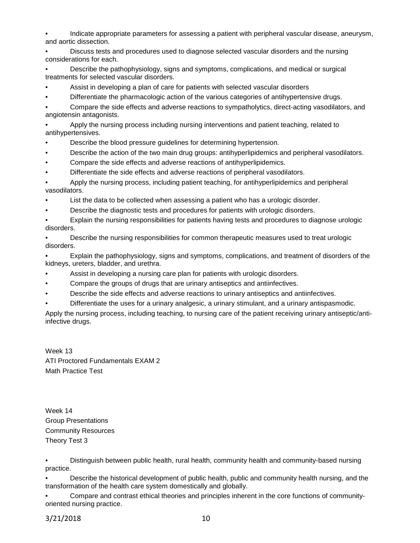• Indicate appropriate parameters for assessing a patient with peripheral vascular disease, aneurysm, and aortic dissection.

• Discuss tests and procedures used to diagnose selected vascular disorders and the nursing considerations for each.

• Describe the pathophysiology, signs and symptoms, complications, and medical or surgical treatments for selected vascular disorders.

- Assist in developing a plan of care for patients with selected vascular disorders
- Differentiate the pharmacologic action of the various categories of antihypertensive drugs.

• Compare the side effects and adverse reactions to sympatholytics, direct-acting vasodilators, and angiotensin antagonists.

• Apply the nursing process including nursing interventions and patient teaching, related to antihypertensives.

- Describe the blood pressure guidelines for determining hypertension.
- Describe the action of the two main drug groups: antihyperlipidemics and peripheral vasodilators.
- Compare the side effects and adverse reactions of antihyperlipidemics.
- Differentiate the side effects and adverse reactions of peripheral vasodilators.

• Apply the nursing process, including patient teaching, for antihyperlipidemics and peripheral vasodilators.

- List the data to be collected when assessing a patient who has a urologic disorder.
- Describe the diagnostic tests and procedures for patients with urologic disorders.

• Explain the nursing responsibilities for patients having tests and procedures to diagnose urologic disorders.

• Describe the nursing responsibilities for common therapeutic measures used to treat urologic disorders.

• Explain the pathophysiology, signs and symptoms, complications, and treatment of disorders of the kidneys, ureters, bladder, and urethra.

- Assist in developing a nursing care plan for patients with urologic disorders.
- Compare the groups of drugs that are urinary antiseptics and antiinfectives.
- Describe the side effects and adverse reactions to urinary antiseptics and antiinfectives.
- Differentiate the uses for a urinary analgesic, a urinary stimulant, and a urinary antispasmodic.

Apply the nursing process, including teaching, to nursing care of the patient receiving urinary antiseptic/antiinfective drugs.

Week 13 ATI Proctored Fundamentals EXAM 2 Math Practice Test

Week 14 Group Presentations Community Resources Theory Test 3

• Distinguish between public health, rural health, community health and community-based nursing practice.

• Describe the historical development of public health, public and community health nursing, and the transformation of the health care system domestically and globally.

• Compare and contrast ethical theories and principles inherent in the core functions of communityoriented nursing practice.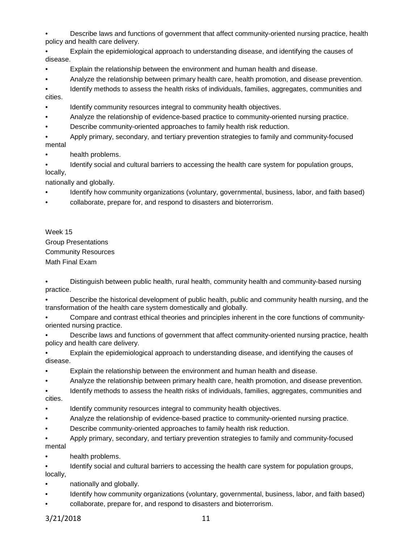• Describe laws and functions of government that affect community-oriented nursing practice, health policy and health care delivery.

• Explain the epidemiological approach to understanding disease, and identifying the causes of disease.

• Explain the relationship between the environment and human health and disease.

• Analyze the relationship between primary health care, health promotion, and disease prevention.

Identify methods to assess the health risks of individuals, families, aggregates, communities and cities.

- Identify community resources integral to community health objectives.
- Analyze the relationship of evidence-based practice to community-oriented nursing practice.
- Describe community-oriented approaches to family health risk reduction.

• Apply primary, secondary, and tertiary prevention strategies to family and community-focused mental

health problems.

• Identify social and cultural barriers to accessing the health care system for population groups, locally,

nationally and globally.

- Identify how community organizations (voluntary, governmental, business, labor, and faith based)
- collaborate, prepare for, and respond to disasters and bioterrorism.

Week 15 Group Presentations Community Resources Math Final Exam

• Distinguish between public health, rural health, community health and community-based nursing practice.

• Describe the historical development of public health, public and community health nursing, and the transformation of the health care system domestically and globally.

• Compare and contrast ethical theories and principles inherent in the core functions of communityoriented nursing practice.

• Describe laws and functions of government that affect community-oriented nursing practice, health policy and health care delivery.

• Explain the epidemiological approach to understanding disease, and identifying the causes of disease.

• Explain the relationship between the environment and human health and disease.

• Analyze the relationship between primary health care, health promotion, and disease prevention.

• Identify methods to assess the health risks of individuals, families, aggregates, communities and cities.

- Identify community resources integral to community health objectives.
- Analyze the relationship of evidence-based practice to community-oriented nursing practice.
- Describe community-oriented approaches to family health risk reduction.

• Apply primary, secondary, and tertiary prevention strategies to family and community-focused mental

health problems.

• Identify social and cultural barriers to accessing the health care system for population groups, locally,

- nationally and globally.
- Identify how community organizations (voluntary, governmental, business, labor, and faith based)
- collaborate, prepare for, and respond to disasters and bioterrorism.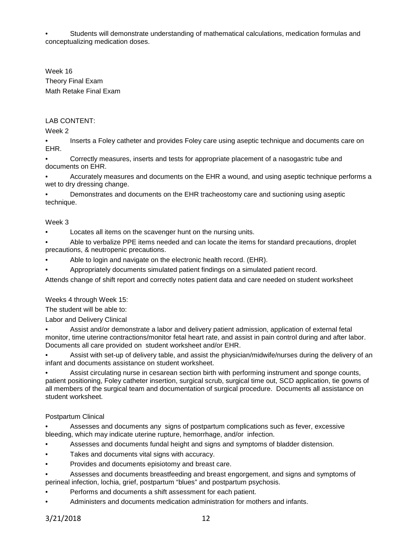• Students will demonstrate understanding of mathematical calculations, medication formulas and conceptualizing medication doses.

Week 16 Theory Final Exam Math Retake Final Exam

# LAB CONTENT:

Week 2

• Inserts a Foley catheter and provides Foley care using aseptic technique and documents care on EHR.

• Correctly measures, inserts and tests for appropriate placement of a nasogastric tube and documents on EHR.

• Accurately measures and documents on the EHR a wound, and using aseptic technique performs a wet to dry dressing change.

• Demonstrates and documents on the EHR tracheostomy care and suctioning using aseptic technique.

## Week 3

Locates all items on the scavenger hunt on the nursing units.

• Able to verbalize PPE items needed and can locate the items for standard precautions, droplet precautions, & neutropenic precautions.

- Able to login and navigate on the electronic health record. (EHR).
- Appropriately documents simulated patient findings on a simulated patient record.

Attends change of shift report and correctly notes patient data and care needed on student worksheet

#### Weeks 4 through Week 15:

The student will be able to:

Labor and Delivery Clinical

• Assist and/or demonstrate a labor and delivery patient admission, application of external fetal monitor, time uterine contractions/monitor fetal heart rate, and assist in pain control during and after labor. Documents all care provided on student worksheet and/or EHR.

• Assist with set-up of delivery table, and assist the physician/midwife/nurses during the delivery of an infant and documents assistance on student worksheet.

• Assist circulating nurse in cesarean section birth with performing instrument and sponge counts, patient positioning, Foley catheter insertion, surgical scrub, surgical time out, SCD application, tie gowns of all members of the surgical team and documentation of surgical procedure. Documents all assistance on student worksheet.

## Postpartum Clinical

• Assesses and documents any signs of postpartum complications such as fever, excessive bleeding, which may indicate uterine rupture, hemorrhage, and/or infection.

- Assesses and documents fundal height and signs and symptoms of bladder distension.
- Takes and documents vital signs with accuracy.
- Provides and documents episiotomy and breast care.
- Assesses and documents breastfeeding and breast engorgement, and signs and symptoms of perineal infection, lochia, grief, postpartum "blues" and postpartum psychosis.
- Performs and documents a shift assessment for each patient.
- Administers and documents medication administration for mothers and infants.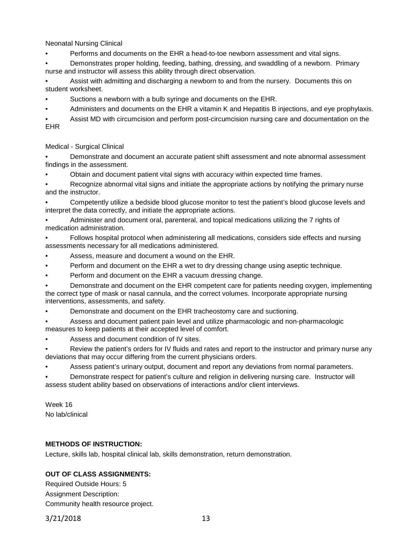Neonatal Nursing Clinical

• Performs and documents on the EHR a head-to-toe newborn assessment and vital signs.

• Demonstrates proper holding, feeding, bathing, dressing, and swaddling of a newborn. Primary nurse and instructor will assess this ability through direct observation.

• Assist with admitting and discharging a newborn to and from the nursery. Documents this on student worksheet.

- Suctions a newborn with a bulb syringe and documents on the EHR.
- Administers and documents on the EHR a vitamin K and Hepatitis B injections, and eye prophylaxis.

• Assist MD with circumcision and perform post-circumcision nursing care and documentation on the EHR

Medical - Surgical Clinical

• Demonstrate and document an accurate patient shift assessment and note abnormal assessment findings in the assessment.

• Obtain and document patient vital signs with accuracy within expected time frames.

Recognize abnormal vital signs and initiate the appropriate actions by notifying the primary nurse and the instructor.

• Competently utilize a bedside blood glucose monitor to test the patient's blood glucose levels and interpret the data correctly, and initiate the appropriate actions.

• Administer and document oral, parenteral, and topical medications utilizing the 7 rights of medication administration.

• Follows hospital protocol when administering all medications, considers side effects and nursing assessments necessary for all medications administered.

- Assess, measure and document a wound on the EHR.
- Perform and document on the EHR a wet to dry dressing change using aseptic technique.
- Perform and document on the EHR a vacuum dressing change.

• Demonstrate and document on the EHR competent care for patients needing oxygen, implementing the correct type of mask or nasal cannula, and the correct volumes. Incorporate appropriate nursing interventions, assessments, and safety.

• Demonstrate and document on the EHR tracheostomy care and suctioning.

• Assess and document patient pain level and utilize pharmacologic and non-pharmacologic measures to keep patients at their accepted level of comfort.

Assess and document condition of IV sites.

• Review the patient's orders for IV fluids and rates and report to the instructor and primary nurse any deviations that may occur differing from the current physicians orders.

• Assess patient's urinary output, document and report any deviations from normal parameters.

• Demonstrate respect for patient's culture and religion in delivering nursing care. Instructor will assess student ability based on observations of interactions and/or client interviews.

Week 16 No lab/clinical

## **METHODS OF INSTRUCTION:**

Lecture, skills lab, hospital clinical lab, skills demonstration, return demonstration.

# **OUT OF CLASS ASSIGNMENTS:**

Required Outside Hours: 5 Assignment Description: Community health resource project.

3/21/2018 13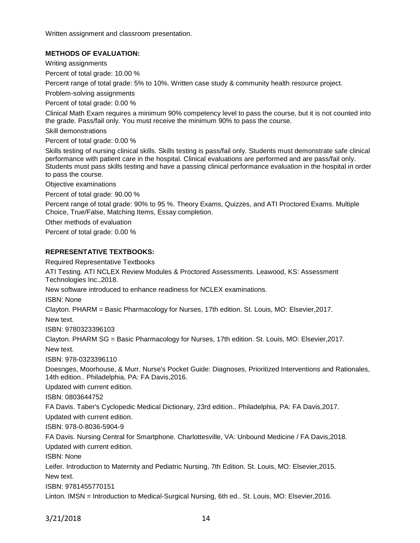Written assignment and classroom presentation.

# **METHODS OF EVALUATION:**

Writing assignments

Percent of total grade: 10.00 %

Percent range of total grade: 5% to 10%. Written case study & community health resource project.

Problem-solving assignments

Percent of total grade: 0.00 %

Clinical Math Exam requires a minimum 90% competency level to pass the course, but it is not counted into the grade. Pass/fail only. You must receive the minimum 90% to pass the course.

Skill demonstrations

Percent of total grade: 0.00 %

Skills testing of nursing clinical skills. Skills testing is pass/fail only. Students must demonstrate safe clinical performance with patient care in the hospital. Clinical evaluations are performed and are pass/fail only. Students must pass skills testing and have a passing clinical performance evaluation in the hospital in order to pass the course.

Objective examinations

Percent of total grade: 90.00 %

Percent range of total grade: 90% to 95 %. Theory Exams, Quizzes, and ATI Proctored Exams. Multiple Choice, True/False, Matching Items, Essay completion.

Other methods of evaluation

Percent of total grade: 0.00 %

#### **REPRESENTATIVE TEXTBOOKS:**

Required Representative Textbooks

ATI Testing. ATI NCLEX Review Modules & Proctored Assessments. Leawood, KS: Assessment Technologies Inc.,2018.

New software introduced to enhance readiness for NCLEX examinations.

ISBN: None

Clayton. PHARM = Basic Pharmacology for Nurses, 17th edition. St. Louis, MO: Elsevier,2017.

New text.

ISBN: 9780323396103

Clayton. PHARM SG = Basic Pharmacology for Nurses, 17th edition. St. Louis, MO: Elsevier,2017. New text.

ISBN: 978-0323396110

Doesnges, Moorhouse, & Murr. Nurse's Pocket Guide: Diagnoses, Prioritized Interventions and Rationales, 14th edition.. Philadelphia, PA: FA Davis,2016.

Updated with current edition.

ISBN: 0803644752

FA Davis. Taber's Cyclopedic Medical Dictionary, 23rd edition.. Philadelphia, PA: FA Davis,2017.

Updated with current edition.

ISBN: 978-0-8036-5904-9

FA Davis. Nursing Central for Smartphone. Charlottesville, VA: Unbound Medicine / FA Davis,2018. Updated with current edition.

ISBN: None

Leifer. Introduction to Maternity and Pediatric Nursing, 7th Edition. St. Louis, MO: Elsevier,2015. New text.

ISBN: 9781455770151

Linton. IMSN = Introduction to Medical-Surgical Nursing, 6th ed.. St. Louis, MO: Elsevier,2016.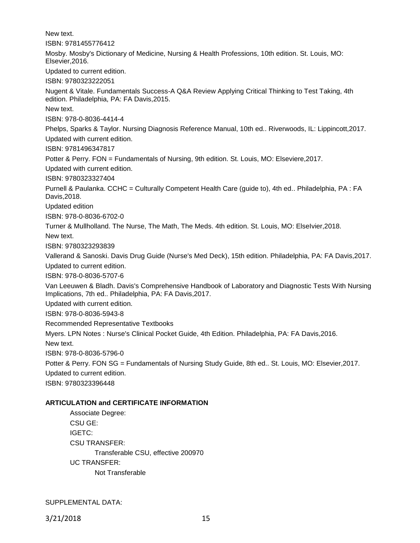New text.

ISBN: 9781455776412

Mosby. Mosby's Dictionary of Medicine, Nursing & Health Professions, 10th edition. St. Louis, MO: Elsevier,2016.

Updated to current edition.

ISBN: 9780323222051

Nugent & Vitale. Fundamentals Success-A Q&A Review Applying Critical Thinking to Test Taking, 4th edition. Philadelphia, PA: FA Davis,2015.

New text.

ISBN: 978-0-8036-4414-4

Phelps, Sparks & Taylor. Nursing Diagnosis Reference Manual, 10th ed.. Riverwoods, IL: Lippincott,2017.

Updated with current edition.

ISBN: 9781496347817

Potter & Perry. FON = Fundamentals of Nursing, 9th edition. St. Louis, MO: Elseviere,2017.

Updated with current edition.

ISBN: 9780323327404

Purnell & Paulanka. CCHC = Culturally Competent Health Care (guide to), 4th ed.. Philadelphia, PA : FA Davis,2018.

Updated edition

ISBN: 978-0-8036-6702-0

Turner & Mullholland. The Nurse, The Math, The Meds. 4th edition. St. Louis, MO: ElseIvier,2018.

New text.

ISBN: 9780323293839

Vallerand & Sanoski. Davis Drug Guide (Nurse's Med Deck), 15th edition. Philadelphia, PA: FA Davis,2017. Updated to current edition.

ISBN: 978-0-8036-5707-6

Van Leeuwen & Bladh. Davis's Comprehensive Handbook of Laboratory and Diagnostic Tests With Nursing Implications, 7th ed.. Philadelphia, PA: FA Davis,2017.

Updated with current edition.

ISBN: 978-0-8036-5943-8

Recommended Representative Textbooks

Myers. LPN Notes : Nurse's Clinical Pocket Guide, 4th Edition. Philadelphia, PA: FA Davis,2016.

New text.

ISBN: 978-0-8036-5796-0

Potter & Perry. FON SG = Fundamentals of Nursing Study Guide, 8th ed.. St. Louis, MO: Elsevier,2017.

Updated to current edition.

ISBN: 9780323396448

## **ARTICULATION and CERTIFICATE INFORMATION**

Associate Degree: CSU GE: IGETC: CSU TRANSFER: Transferable CSU, effective 200970 UC TRANSFER: Not Transferable

SUPPLEMENTAL DATA: